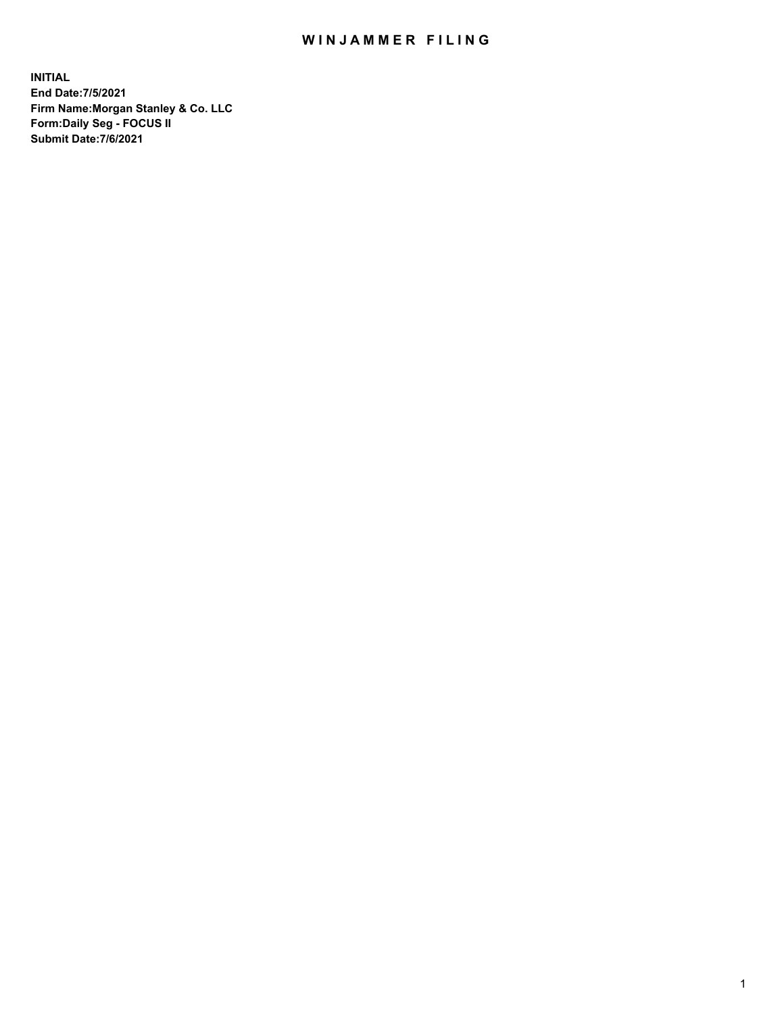## WIN JAMMER FILING

**INITIAL End Date:7/5/2021 Firm Name:Morgan Stanley & Co. LLC Form:Daily Seg - FOCUS II Submit Date:7/6/2021**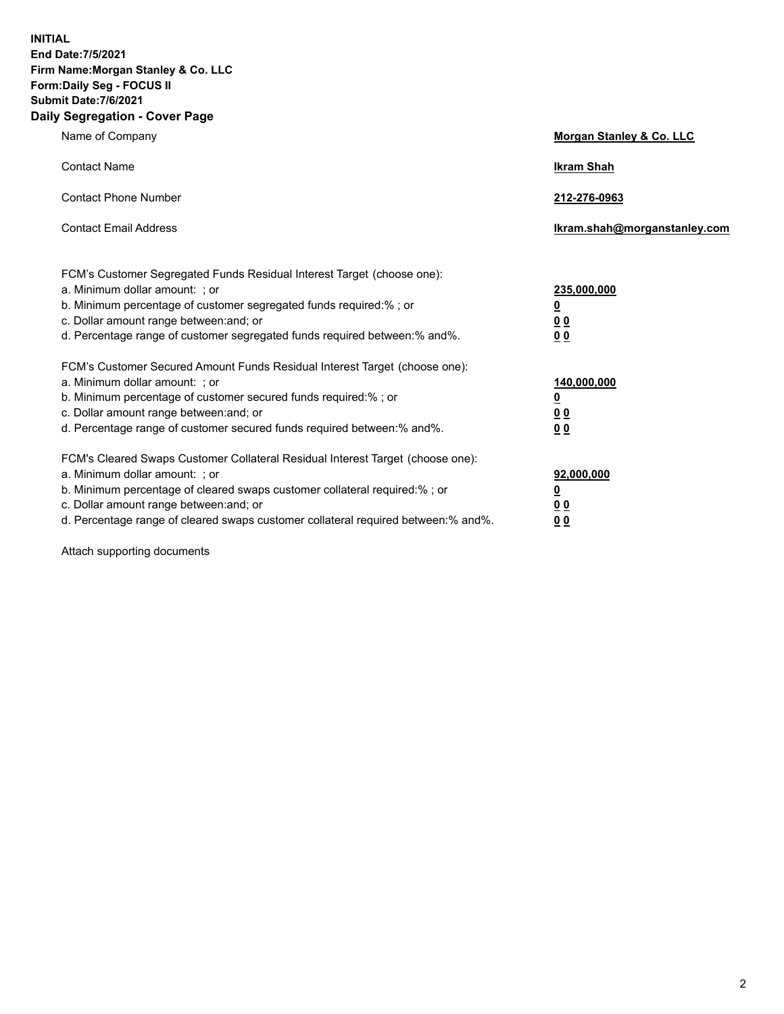**INITIAL End Date:7/5/2021 Firm Name:Morgan Stanley & Co. LLC Form:Daily Seg - FOCUS II Submit Date:7/6/2021 Daily Segregation - Cover Page**

| Name of Company                                                                                                                                                                                                                                                                                                                | <b>Morgan Stanley &amp; Co. LLC</b>                        |
|--------------------------------------------------------------------------------------------------------------------------------------------------------------------------------------------------------------------------------------------------------------------------------------------------------------------------------|------------------------------------------------------------|
| <b>Contact Name</b>                                                                                                                                                                                                                                                                                                            | <b>Ikram Shah</b>                                          |
| <b>Contact Phone Number</b>                                                                                                                                                                                                                                                                                                    | 212-276-0963                                               |
| <b>Contact Email Address</b>                                                                                                                                                                                                                                                                                                   | Ikram.shah@morganstanley.com                               |
| FCM's Customer Segregated Funds Residual Interest Target (choose one):<br>a. Minimum dollar amount: ; or<br>b. Minimum percentage of customer segregated funds required:% ; or<br>c. Dollar amount range between: and; or<br>d. Percentage range of customer segregated funds required between: % and %.                       | 235,000,000<br><u>0</u><br><u>00</u><br>0 <sup>0</sup>     |
| FCM's Customer Secured Amount Funds Residual Interest Target (choose one):<br>a. Minimum dollar amount: ; or<br>b. Minimum percentage of customer secured funds required:%; or<br>c. Dollar amount range between: and; or<br>d. Percentage range of customer secured funds required between: % and %.                          | 140,000,000<br><u>0</u><br><u>00</u><br>0 <sup>0</sup>     |
| FCM's Cleared Swaps Customer Collateral Residual Interest Target (choose one):<br>a. Minimum dollar amount: ; or<br>b. Minimum percentage of cleared swaps customer collateral required:% ; or<br>c. Dollar amount range between: and; or<br>d. Percentage range of cleared swaps customer collateral required between:% and%. | 92,000,000<br><u>0</u><br>0 <sup>0</sup><br>0 <sub>0</sub> |

Attach supporting documents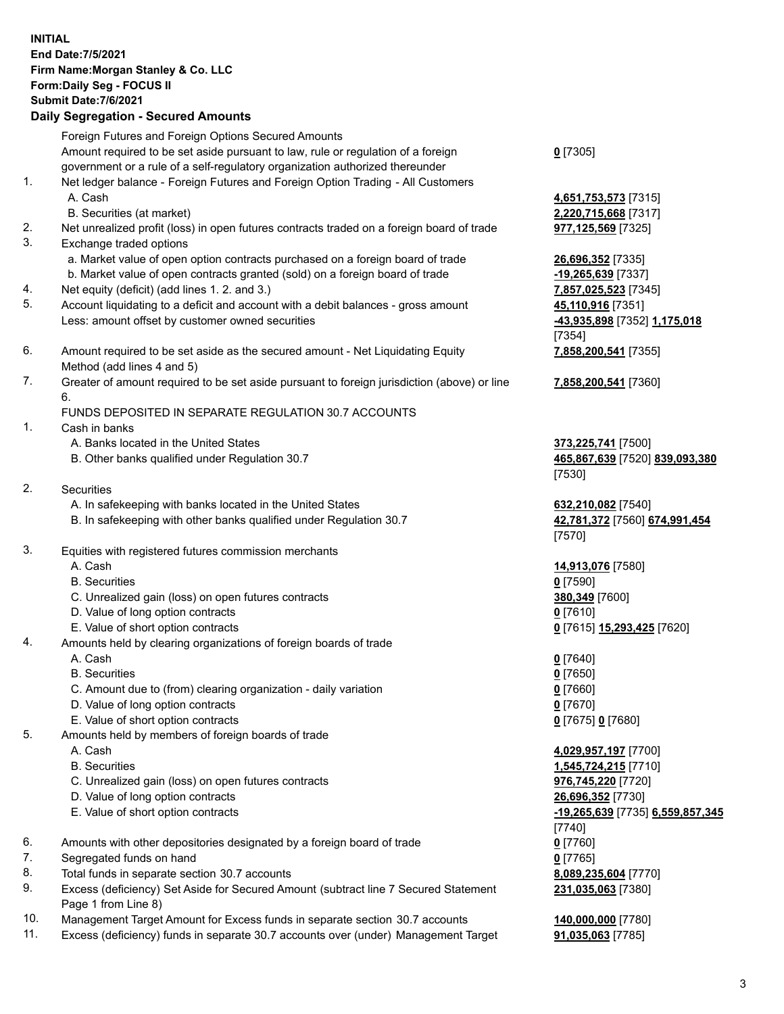| <b>INITIAL</b> |                                                                                             |                                            |
|----------------|---------------------------------------------------------------------------------------------|--------------------------------------------|
|                | End Date: 7/5/2021                                                                          |                                            |
|                | Firm Name: Morgan Stanley & Co. LLC                                                         |                                            |
|                | Form: Daily Seg - FOCUS II                                                                  |                                            |
|                | <b>Submit Date: 7/6/2021</b>                                                                |                                            |
|                | <b>Daily Segregation - Secured Amounts</b>                                                  |                                            |
|                | Foreign Futures and Foreign Options Secured Amounts                                         |                                            |
|                | Amount required to be set aside pursuant to law, rule or regulation of a foreign            | $0$ [7305]                                 |
|                | government or a rule of a self-regulatory organization authorized thereunder                |                                            |
| 1.             | Net ledger balance - Foreign Futures and Foreign Option Trading - All Customers             |                                            |
|                | A. Cash                                                                                     | 4,651,753,573 [7315]                       |
|                | B. Securities (at market)                                                                   | 2,220,715,668 [7317]                       |
| 2.             | Net unrealized profit (loss) in open futures contracts traded on a foreign board of trade   | 977,125,569 [7325]                         |
| 3.             | Exchange traded options                                                                     |                                            |
|                | a. Market value of open option contracts purchased on a foreign board of trade              | 26,696,352 [7335]                          |
|                | b. Market value of open contracts granted (sold) on a foreign board of trade                | $-19,265,639$ [7337]                       |
| 4.             | Net equity (deficit) (add lines 1.2. and 3.)                                                | 7,857,025,523 [7345]                       |
| 5.             | Account liquidating to a deficit and account with a debit balances - gross amount           | 45,110,916 [7351]                          |
|                | Less: amount offset by customer owned securities                                            | -43,935,898 [7352] 1,175,018               |
|                |                                                                                             | [7354]                                     |
| 6.             | Amount required to be set aside as the secured amount - Net Liquidating Equity              | 7,858,200,541 [7355]                       |
|                | Method (add lines 4 and 5)                                                                  |                                            |
| 7.             | Greater of amount required to be set aside pursuant to foreign jurisdiction (above) or line | 7,858,200,541 [7360]                       |
|                | 6.                                                                                          |                                            |
|                | FUNDS DEPOSITED IN SEPARATE REGULATION 30.7 ACCOUNTS                                        |                                            |
| 1.             | Cash in banks                                                                               |                                            |
|                | A. Banks located in the United States                                                       | 373,225,741 [7500]                         |
|                | B. Other banks qualified under Regulation 30.7                                              | 465,867,639 [7520] 839,093,380             |
|                |                                                                                             | [7530]                                     |
| 2.             | <b>Securities</b>                                                                           |                                            |
|                | A. In safekeeping with banks located in the United States                                   | 632,210,082 [7540]                         |
|                | B. In safekeeping with other banks qualified under Regulation 30.7                          | 42,781,372 [7560] 674,991,454              |
|                |                                                                                             | [7570]                                     |
| 3.             | Equities with registered futures commission merchants                                       |                                            |
|                | A. Cash                                                                                     | 14,913,076 [7580]                          |
|                | <b>B.</b> Securities                                                                        | $0$ [7590]                                 |
|                | C. Unrealized gain (loss) on open futures contracts                                         | 380,349 [7600]                             |
|                | D. Value of long option contracts                                                           | $0$ [7610]                                 |
|                | E. Value of short option contracts                                                          | 0 [7615] 15,293,425 [7620]                 |
| 4.             | Amounts held by clearing organizations of foreign boards of trade                           |                                            |
|                | A. Cash<br><b>B.</b> Securities                                                             | $0$ [7640]                                 |
|                | C. Amount due to (from) clearing organization - daily variation                             | $Q$ [7650]                                 |
|                |                                                                                             | $0$ [7660]                                 |
|                | D. Value of long option contracts<br>E. Value of short option contracts                     | $0$ [7670]                                 |
| 5.             | Amounts held by members of foreign boards of trade                                          | 0 [7675] 0 [7680]                          |
|                | A. Cash                                                                                     | 4,029,957,197 [7700]                       |
|                | <b>B.</b> Securities                                                                        |                                            |
|                | C. Unrealized gain (loss) on open futures contracts                                         | 1,545,724,215 [7710]<br>976,745,220 [7720] |
|                | D. Value of long option contracts                                                           | 26,696,352 [7730]                          |
|                | E. Value of short option contracts                                                          | -19,265,639 [7735] 6,559,857,345           |
|                |                                                                                             | [7740]                                     |
| 6.             | Amounts with other depositories designated by a foreign board of trade                      | $0$ [7760]                                 |
| 7.             | Segregated funds on hand                                                                    | $0$ [7765]                                 |
|                |                                                                                             |                                            |

- 8. Total funds in separate section 30.7 accounts **8,089,235,604** [7770]
- 9. Excess (deficiency) Set Aside for Secured Amount (subtract line 7 Secured Statement Page 1 from Line 8)
- 10. Management Target Amount for Excess funds in separate section 30.7 accounts **140,000,000** [7780]
- 11. Excess (deficiency) funds in separate 30.7 accounts over (under) Management Target **91,035,063** [7785]

**231,035,063** [7380]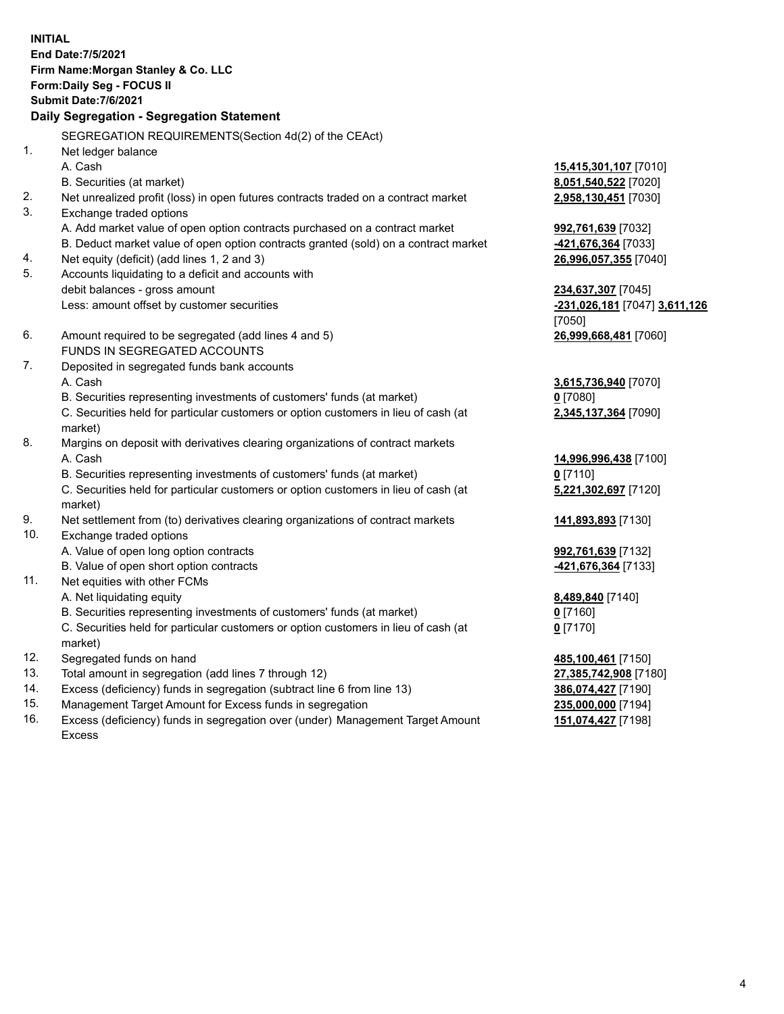**INITIAL End Date:7/5/2021 Firm Name:Morgan Stanley & Co. LLC Form:Daily Seg - FOCUS II Submit Date:7/6/2021 Daily Segregation - Segregation Statement** SEGREGATION REQUIREMENTS(Section 4d(2) of the CEAct) 1. Net ledger balance A. Cash **15,415,301,107** [7010] B. Securities (at market) **8,051,540,522** [7020] 2. Net unrealized profit (loss) in open futures contracts traded on a contract market **2,958,130,451** [7030] 3. Exchange traded options A. Add market value of open option contracts purchased on a contract market **992,761,639** [7032] B. Deduct market value of open option contracts granted (sold) on a contract market **-421,676,364** [7033] 4. Net equity (deficit) (add lines 1, 2 and 3) **26,996,057,355** [7040] 5. Accounts liquidating to a deficit and accounts with debit balances - gross amount **234,637,307** [7045] Less: amount offset by customer securities **-231,026,181** [7047] **3,611,126** [7050] 6. Amount required to be segregated (add lines 4 and 5) **26,999,668,481** [7060] FUNDS IN SEGREGATED ACCOUNTS 7. Deposited in segregated funds bank accounts A. Cash **3,615,736,940** [7070] B. Securities representing investments of customers' funds (at market) **0** [7080] C. Securities held for particular customers or option customers in lieu of cash (at market) **2,345,137,364** [7090] 8. Margins on deposit with derivatives clearing organizations of contract markets A. Cash **14,996,996,438** [7100] B. Securities representing investments of customers' funds (at market) **0** [7110] C. Securities held for particular customers or option customers in lieu of cash (at market) **5,221,302,697** [7120] 9. Net settlement from (to) derivatives clearing organizations of contract markets **141,893,893** [7130] 10. Exchange traded options A. Value of open long option contracts **992,761,639** [7132] B. Value of open short option contracts **-421,676,364** [7133] 11. Net equities with other FCMs A. Net liquidating equity **8,489,840** [7140] B. Securities representing investments of customers' funds (at market) **0** [7160] C. Securities held for particular customers or option customers in lieu of cash (at market) **0** [7170] 12. Segregated funds on hand **485,100,461** [7150] 13. Total amount in segregation (add lines 7 through 12) **27,385,742,908** [7180] 14. Excess (deficiency) funds in segregation (subtract line 6 from line 13) **386,074,427** [7190] 15. Management Target Amount for Excess funds in segregation **235,000,000** [7194]

16. Excess (deficiency) funds in segregation over (under) Management Target Amount Excess

**151,074,427** [7198]